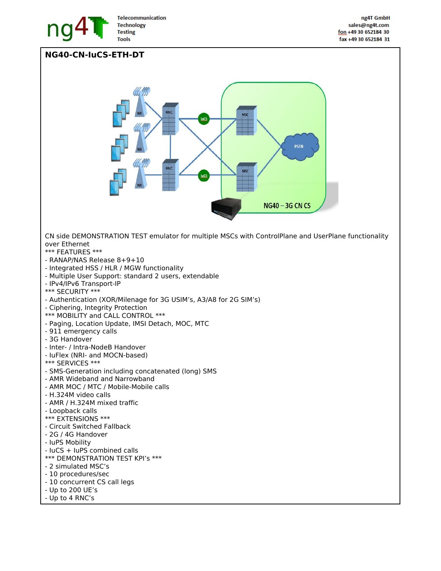

## **NG40-CN-IuCS-ETH-DT**

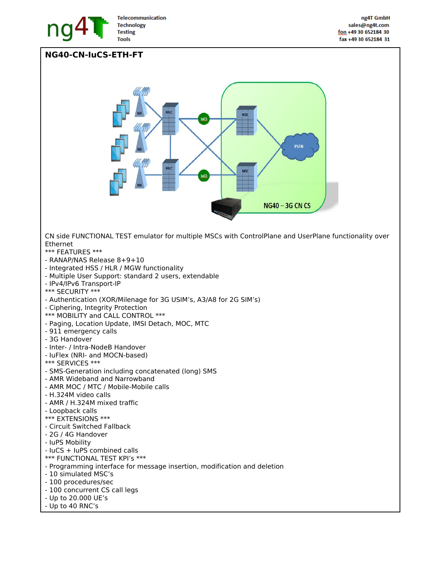

## **NG40-CN-IuCS-ETH-FT**